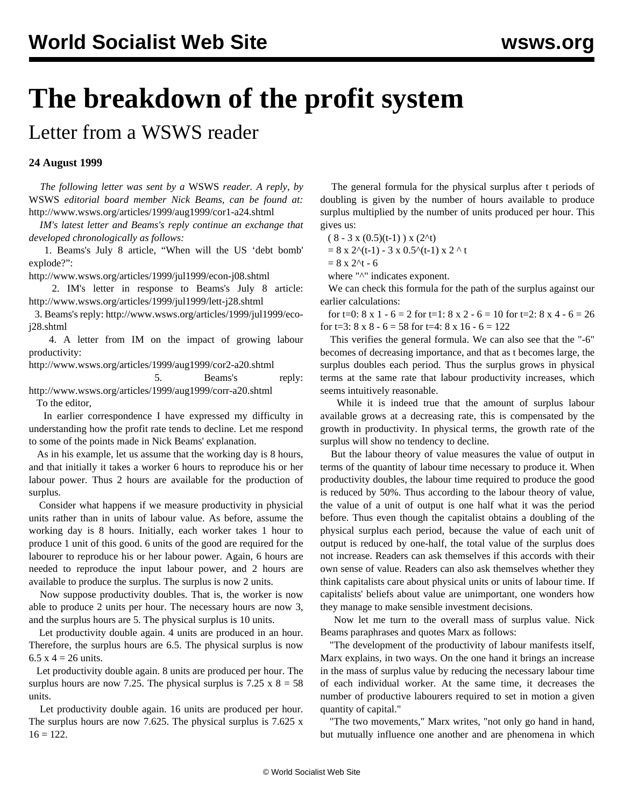## **The breakdown of the profit system**

Letter from a WSWS reader

## **24 August 1999**

 *The following letter was sent by a* WSWS *reader. A reply, by* WSWS *editorial board member Nick Beams, can be found at:* [http://www.wsws.org/articles/1999/aug1999/cor1-a24.shtml](cor1-a24.shtml)

 *IM's latest letter and Beams's reply continue an exchange that developed chronologically as follows:*

 1. Beams's July 8 article, "When will the US 'debt bomb' explode?":

[http://www.wsws.org/articles/1999/jul1999/econ-j08.shtml](../jul1999/econ-j08.shtml)

 2. IM's letter in response to Beams's July 8 article: [http://www.wsws.org/articles/1999/jul1999/lett-j28.shtml](../jul1999/lett-j28.shtml)

 3. Beams's reply: [http://www.wsws.org/articles/1999/jul1999/eco](../jul1999/eco-j28.shtml)[j28.shtml](../jul1999/eco-j28.shtml)

 4. A letter from IM on the impact of growing labour productivity:

[http://www.wsws.org/articles/1999/aug1999/cor2-a20.shtml](cor2-a20.shtml)

5. Beams's reply:

[http://www.wsws.org/articles/1999/aug1999/corr-a20.shtml](corr-a20.shtml) To the editor,

 In earlier correspondence I have expressed my difficulty in understanding how the profit rate tends to decline. Let me respond to some of the points made in Nick Beams' explanation.

 As in his example, let us assume that the working day is 8 hours, and that initially it takes a worker 6 hours to reproduce his or her labour power. Thus 2 hours are available for the production of surplus.

 Consider what happens if we measure productivity in physicial units rather than in units of labour value. As before, assume the working day is 8 hours. Initially, each worker takes 1 hour to produce 1 unit of this good. 6 units of the good are required for the labourer to reproduce his or her labour power. Again, 6 hours are needed to reproduce the input labour power, and 2 hours are available to produce the surplus. The surplus is now 2 units.

 Now suppose productivity doubles. That is, the worker is now able to produce 2 units per hour. The necessary hours are now 3, and the surplus hours are 5. The physical surplus is 10 units.

 Let productivity double again. 4 units are produced in an hour. Therefore, the surplus hours are 6.5. The physical surplus is now 6.5 x 4 = 26 units.

 Let productivity double again. 8 units are produced per hour. The surplus hours are now 7.25. The physical surplus is  $7.25 \times 8 = 58$ units.

 Let productivity double again. 16 units are produced per hour. The surplus hours are now 7.625. The physical surplus is 7.625 x  $16 = 122.$ 

 The general formula for the physical surplus after t periods of doubling is given by the number of hours available to produce surplus multiplied by the number of units produced per hour. This gives us:

 $(8 - 3 \times (0.5)(t-1)) \times (2^t)$ 

 $= 8 \times 2^{(t-1)} - 3 \times 0.5^{(t-1)} \times 2^{(t-1)}$ 

 $= 8 \times 2^t - 6$ 

where "<sup>^</sup>" indicates exponent.

 We can check this formula for the path of the surplus against our earlier calculations:

for t=0:  $8 \times 1 - 6 = 2$  for t=1:  $8 \times 2 - 6 = 10$  for t=2:  $8 \times 4 - 6 = 26$ for t=3:  $8 \times 8 - 6 = 58$  for t=4:  $8 \times 16 - 6 = 122$ 

 This verifies the general formula. We can also see that the "-6" becomes of decreasing importance, and that as t becomes large, the surplus doubles each period. Thus the surplus grows in physical terms at the same rate that labour productivity increases, which seems intuitively reasonable.

 While it is indeed true that the amount of surplus labour available grows at a decreasing rate, this is compensated by the growth in productivity. In physical terms, the growth rate of the surplus will show no tendency to decline.

 But the labour theory of value measures the value of output in terms of the quantity of labour time necessary to produce it. When productivity doubles, the labour time required to produce the good is reduced by 50%. Thus according to the labour theory of value, the value of a unit of output is one half what it was the period before. Thus even though the capitalist obtains a doubling of the physical surplus each period, because the value of each unit of output is reduced by one-half, the total value of the surplus does not increase. Readers can ask themselves if this accords with their own sense of value. Readers can also ask themselves whether they think capitalists care about physical units or units of labour time. If capitalists' beliefs about value are unimportant, one wonders how they manage to make sensible investment decisions.

 Now let me turn to the overall mass of surplus value. Nick Beams paraphrases and quotes Marx as follows:

 "The development of the productivity of labour manifests itself, Marx explains, in two ways. On the one hand it brings an increase in the mass of surplus value by reducing the necessary labour time of each individual worker. At the same time, it decreases the number of productive labourers required to set in motion a given quantity of capital."

 "The two movements," Marx writes, "not only go hand in hand, but mutually influence one another and are phenomena in which